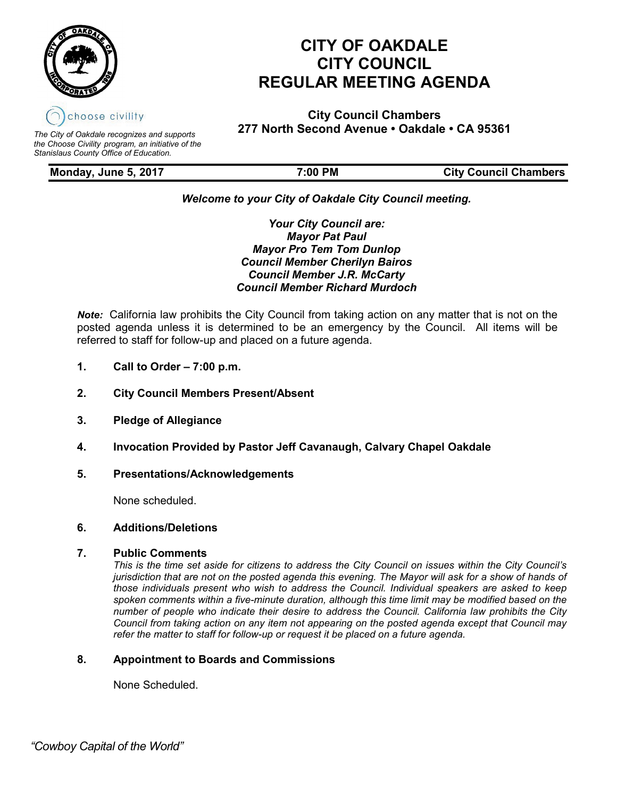

# **CITY OF OAKDALE CITY COUNCIL REGULAR MEETING AGENDA**

**City Council Chambers 277 North Second Avenue • Oakdale • CA 95361** *The City of Oakdale recognizes and supports* 

*the Choose Civility program, an initiative of the Stanislaus County Office of Education.*

**Monday, June 5, 2017 7:00 PM City Council Chambers**

# *Welcome to your City of Oakdale City Council meeting.*

*Your City Council are: Mayor Pat Paul Mayor Pro Tem Tom Dunlop Council Member Cherilyn Bairos Council Member J.R. McCarty Council Member Richard Murdoch*

*Note:* California law prohibits the City Council from taking action on any matter that is not on the posted agenda unless it is determined to be an emergency by the Council. All items will be referred to staff for follow-up and placed on a future agenda.

- **1. Call to Order – 7:00 p.m.**
- **2. City Council Members Present/Absent**
- **3. Pledge of Allegiance**
- **4. Invocation Provided by Pastor Jeff Cavanaugh, Calvary Chapel Oakdale**
- **5. Presentations/Acknowledgements**

None scheduled.

# **6. Additions/Deletions**

## **7. Public Comments**

*This is the time set aside for citizens to address the City Council on issues within the City Council's jurisdiction that are not on the posted agenda this evening. The Mayor will ask for a show of hands of those individuals present who wish to address the Council. Individual speakers are asked to keep spoken comments within a five-minute duration, although this time limit may be modified based on the number of people who indicate their desire to address the Council. California law prohibits the City Council from taking action on any item not appearing on the posted agenda except that Council may refer the matter to staff for follow-up or request it be placed on a future agenda.*

# **8. Appointment to Boards and Commissions**

None Scheduled.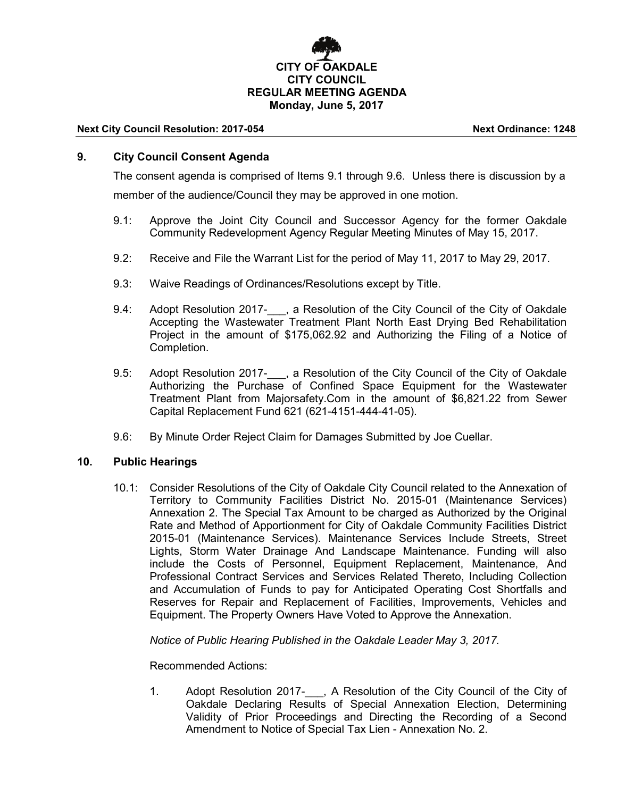# **CITY OF OAKDALE CITY COUNCIL REGULAR MEETING AGENDA Monday, June 5, 2017**

#### **Next City Council Resolution: 2017-054 Next Ordinance: 1248**

# **9. City Council Consent Agenda**

The consent agenda is comprised of Items 9.1 through 9.6. Unless there is discussion by a member of the audience/Council they may be approved in one motion.

- 9.1: Approve the Joint City Council and Successor Agency for the former Oakdale Community Redevelopment Agency Regular Meeting Minutes of May 15, 2017.
- 9.2: Receive and File the Warrant List for the period of May 11, 2017 to May 29, 2017.
- 9.3: Waive Readings of Ordinances/Resolutions except by Title.
- 9.4: Adopt Resolution 2017-<sub>1, a</sub> Resolution of the City Council of the City of Oakdale Accepting the Wastewater Treatment Plant North East Drying Bed Rehabilitation Project in the amount of \$175,062.92 and Authorizing the Filing of a Notice of Completion.
- 9.5: Adopt Resolution 2017- . a Resolution of the City Council of the City of Oakdale Authorizing the Purchase of Confined Space Equipment for the Wastewater Treatment Plant from Majorsafety.Com in the amount of \$6,821.22 from Sewer Capital Replacement Fund 621 (621-4151-444-41-05).
- 9.6: By Minute Order Reject Claim for Damages Submitted by Joe Cuellar.

## **10. Public Hearings**

10.1: Consider Resolutions of the City of Oakdale City Council related to the Annexation of Territory to Community Facilities District No. 2015-01 (Maintenance Services) Annexation 2. The Special Tax Amount to be charged as Authorized by the Original Rate and Method of Apportionment for City of Oakdale Community Facilities District 2015-01 (Maintenance Services). Maintenance Services Include Streets, Street Lights, Storm Water Drainage And Landscape Maintenance. Funding will also include the Costs of Personnel, Equipment Replacement, Maintenance, And Professional Contract Services and Services Related Thereto, Including Collection and Accumulation of Funds to pay for Anticipated Operating Cost Shortfalls and Reserves for Repair and Replacement of Facilities, Improvements, Vehicles and Equipment. The Property Owners Have Voted to Approve the Annexation.

*Notice of Public Hearing Published in the Oakdale Leader May 3, 2017.*

Recommended Actions:

1. Adopt Resolution 2017-\_\_\_, A Resolution of the City Council of the City of Oakdale Declaring Results of Special Annexation Election, Determining Validity of Prior Proceedings and Directing the Recording of a Second Amendment to Notice of Special Tax Lien - Annexation No. 2.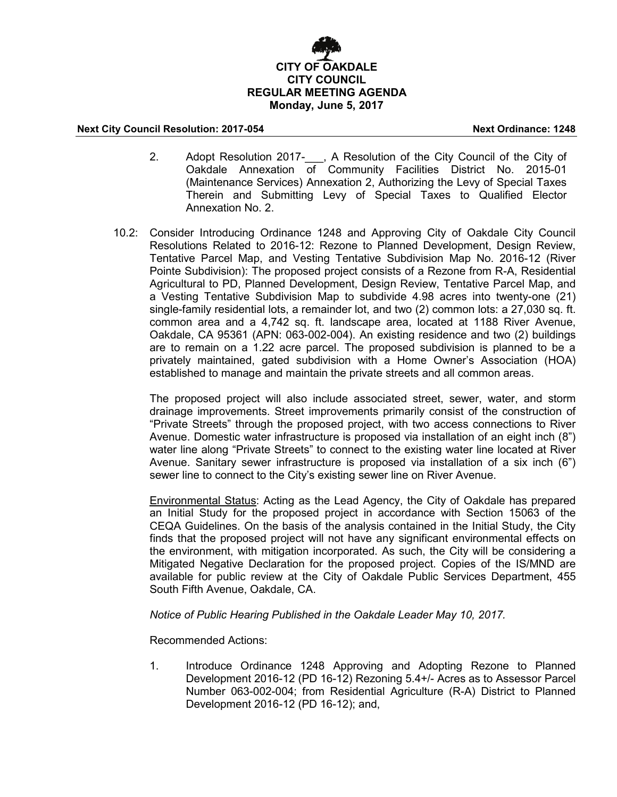# **CITY OF OAKDALE CITY COUNCIL REGULAR MEETING AGENDA Monday, June 5, 2017**

### **Next City Council Resolution: 2017-054 Next Ordinance: 1248**

- 2. Adopt Resolution 2017-..., A Resolution of the City Council of the City of Oakdale Annexation of Community Facilities District No. 2015-01 (Maintenance Services) Annexation 2, Authorizing the Levy of Special Taxes Therein and Submitting Levy of Special Taxes to Qualified Elector Annexation No. 2.
- 10.2: Consider Introducing Ordinance 1248 and Approving City of Oakdale City Council Resolutions Related to 2016-12: Rezone to Planned Development, Design Review, Tentative Parcel Map, and Vesting Tentative Subdivision Map No. 2016-12 (River Pointe Subdivision): The proposed project consists of a Rezone from R-A, Residential Agricultural to PD, Planned Development, Design Review, Tentative Parcel Map, and a Vesting Tentative Subdivision Map to subdivide 4.98 acres into twenty-one (21) single-family residential lots, a remainder lot, and two (2) common lots: a 27,030 sq. ft. common area and a 4,742 sq. ft. landscape area, located at 1188 River Avenue, Oakdale, CA 95361 (APN: 063-002-004). An existing residence and two (2) buildings are to remain on a 1.22 acre parcel. The proposed subdivision is planned to be a privately maintained, gated subdivision with a Home Owner's Association (HOA) established to manage and maintain the private streets and all common areas.

The proposed project will also include associated street, sewer, water, and storm drainage improvements. Street improvements primarily consist of the construction of "Private Streets" through the proposed project, with two access connections to River Avenue. Domestic water infrastructure is proposed via installation of an eight inch (8") water line along "Private Streets" to connect to the existing water line located at River Avenue. Sanitary sewer infrastructure is proposed via installation of a six inch (6") sewer line to connect to the City's existing sewer line on River Avenue.

Environmental Status: Acting as the Lead Agency, the City of Oakdale has prepared an Initial Study for the proposed project in accordance with Section 15063 of the CEQA Guidelines. On the basis of the analysis contained in the Initial Study, the City finds that the proposed project will not have any significant environmental effects on the environment, with mitigation incorporated. As such, the City will be considering a Mitigated Negative Declaration for the proposed project. Copies of the IS/MND are available for public review at the City of Oakdale Public Services Department, 455 South Fifth Avenue, Oakdale, CA.

*Notice of Public Hearing Published in the Oakdale Leader May 10, 2017.*

Recommended Actions:

1. Introduce Ordinance 1248 Approving and Adopting Rezone to Planned Development 2016-12 (PD 16-12) Rezoning 5.4+/- Acres as to Assessor Parcel Number 063-002-004; from Residential Agriculture (R-A) District to Planned Development 2016-12 (PD 16-12); and,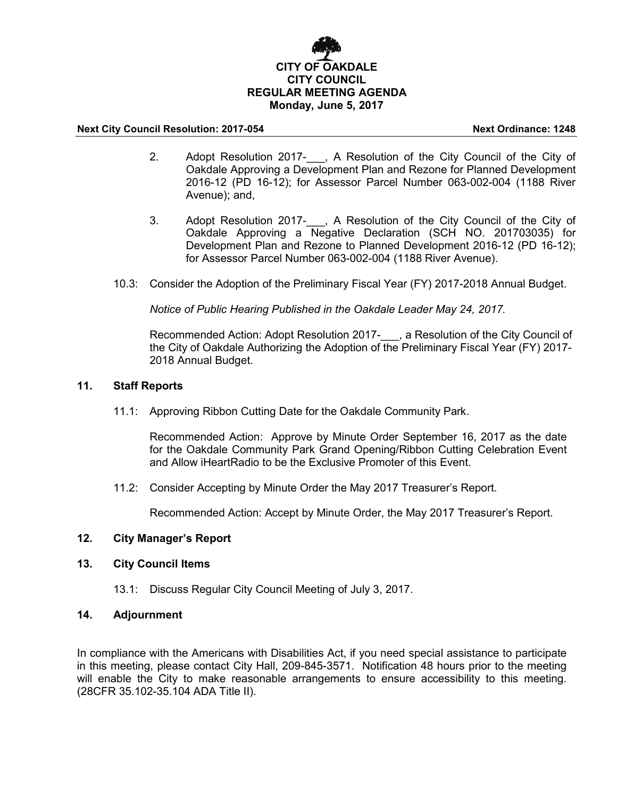# **CITY OF OAKDALE CITY COUNCIL REGULAR MEETING AGENDA Monday, June 5, 2017**

### **Next City Council Resolution: 2017-054 Next Ordinance: 1248**

- 2. Adopt Resolution 2017- , A Resolution of the City Council of the City of Oakdale Approving a Development Plan and Rezone for Planned Development 2016-12 (PD 16-12); for Assessor Parcel Number 063-002-004 (1188 River Avenue); and,
- 3. Adopt Resolution 2017-\_\_\_, A Resolution of the City Council of the City of Oakdale Approving a Negative Declaration (SCH NO. 201703035) for Development Plan and Rezone to Planned Development 2016-12 (PD 16-12); for Assessor Parcel Number 063-002-004 (1188 River Avenue).
- 10.3: Consider the Adoption of the Preliminary Fiscal Year (FY) 2017-2018 Annual Budget.

*Notice of Public Hearing Published in the Oakdale Leader May 24, 2017.*

Recommended Action: Adopt Resolution 2017-\_\_\_, a Resolution of the City Council of the City of Oakdale Authorizing the Adoption of the Preliminary Fiscal Year (FY) 2017- 2018 Annual Budget.

## **11. Staff Reports**

11.1: Approving Ribbon Cutting Date for the Oakdale Community Park.

Recommended Action: Approve by Minute Order September 16, 2017 as the date for the Oakdale Community Park Grand Opening/Ribbon Cutting Celebration Event and Allow iHeartRadio to be the Exclusive Promoter of this Event.

11.2: Consider Accepting by Minute Order the May 2017 Treasurer's Report.

Recommended Action: Accept by Minute Order, the May 2017 Treasurer's Report.

# **12. City Manager's Report**

## **13. City Council Items**

13.1: Discuss Regular City Council Meeting of July 3, 2017.

# **14. Adjournment**

In compliance with the Americans with Disabilities Act, if you need special assistance to participate in this meeting, please contact City Hall, 209-845-3571. Notification 48 hours prior to the meeting will enable the City to make reasonable arrangements to ensure accessibility to this meeting. (28CFR 35.102-35.104 ADA Title II).